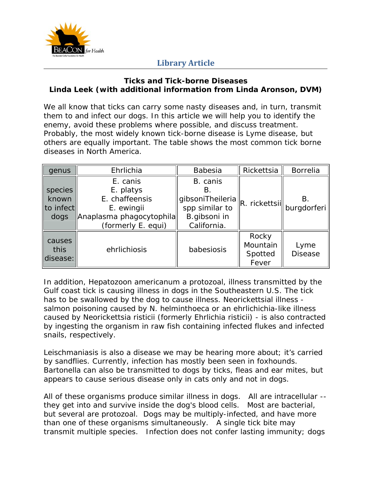

#### **Ticks and Tick-borne Diseases Linda Leek (with additional information from Linda Aronson, DVM)**

We all know that ticks can carry some nasty diseases and, in turn, transmit them to and infect our dogs. In this article we will help you to identify the enemy, avoid these problems where possible, and discuss treatment. Probably, the most widely known tick-borne disease is Lyme disease, but others are equally important. The table shows the most common tick borne diseases in North America.

| genus     | Ehrlichia                | Babesia          | Rickettsia | <b>Borrelia</b>                               |
|-----------|--------------------------|------------------|------------|-----------------------------------------------|
|           | E. canis                 | B. canis         |            |                                               |
| species   | E. platys                | В.               |            | В.<br>$\ R.$ rickettsil $\ $ burgdorferi $\ $ |
| known     | E. chaffeensis           | gibsoniTheileria |            |                                               |
| to infect | E. ewingii               | spp similar to   |            |                                               |
| dogs      | Anaplasma phagocytophila | B.gibsoni in     |            |                                               |
|           | (formerly E. equi)       | California.      |            |                                               |
|           |                          |                  | Rocky      |                                               |
| causes    | ehrlichiosis             | babesiosis       | Mountain   | Lyme                                          |
| this      |                          |                  | Spotted    | <b>Disease</b>                                |
| disease:  |                          |                  | Fever      |                                               |

In addition, *Hepatozoon americanum* a protozoal, illness transmitted by the Gulf coast tick is causing illness in dogs in the Southeastern U.S. The tick has to be swallowed by the dog to cause illness. Neorickettsial illness salmon poisoning caused by N. helminthoeca or an ehrlichichia-like illness caused by Neorickettsia risticii (formerly Ehrlichia risticii) - is also contracted by ingesting the organism in raw fish containing infected flukes and infected snails, respectively.

Leischmaniasis is also a disease we may be hearing more about; it's carried by sandflies. Currently, infection has mostly been seen in foxhounds. Bartonella can also be transmitted to dogs by ticks, fleas and ear mites, but appears to cause serious disease only in cats only and not in dogs.

All of these organisms produce similar illness in dogs. All are intracellular - they get into and survive inside the dog's blood cells. Most are bacterial, but several are protozoal. Dogs may be multiply-infected, and have more than one of these organisms simultaneously. A single tick bite may transmit multiple species. Infection does not confer lasting immunity; dogs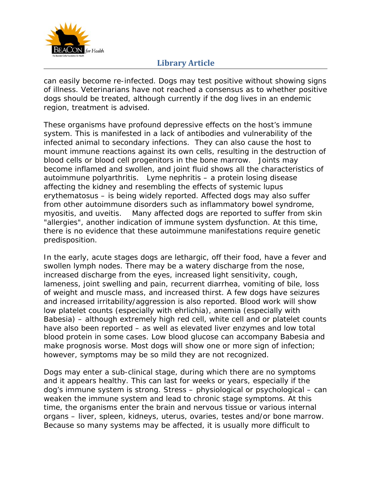

can easily become re-infected. Dogs may test positive without showing signs of illness. Veterinarians have not reached a consensus as to whether positive dogs should be treated, although currently if the dog lives in an endemic region, treatment is advised.

These organisms have profound depressive effects on the host's immune system. This is manifested in a lack of antibodies and vulnerability of the infected animal to secondary infections. They can also cause the host to mount immune reactions against its own cells, resulting in the destruction of blood cells or blood cell progenitors in the bone marrow. Joints may become inflamed and swollen, and joint fluid shows all the characteristics of autoimmune polyarthritis. Lyme nephritis – a protein losing disease affecting the kidney and resembling the effects of systemic lupus erythematosus – is being widely reported. Affected dogs may also suffer from other autoimmune disorders such as inflammatory bowel syndrome, myositis, and uveitis. Many affected dogs are reported to suffer from skin "allergies", another indication of immune system dysfunction. At this time, there is no evidence that these autoimmune manifestations require genetic predisposition.

In the early, acute stages dogs are lethargic, off their food, have a fever and swollen lymph nodes. There may be a watery discharge from the nose, increased discharge from the eyes, increased light sensitivity, cough, lameness, joint swelling and pain, recurrent diarrhea, vomiting of bile, loss of weight and muscle mass, and increased thirst. A few dogs have seizures and increased irritability/aggression is also reported. Blood work will show low platelet counts (especially with ehrlichia), anemia (especially with Babesia) – although extremely high red cell, white cell and or platelet counts have also been reported – as well as elevated liver enzymes and low total blood protein in some cases. Low blood glucose can accompany Babesia and make prognosis worse. Most dogs will show one or more sign of infection; however, symptoms may be so mild they are not recognized.

Dogs may enter a sub-clinical stage, during which there are no symptoms and it appears healthy. This can last for weeks or years, especially if the dog's immune system is strong. Stress – physiological or psychological – can weaken the immune system and lead to chronic stage symptoms. At this time, the organisms enter the brain and nervous tissue or various internal organs – liver, spleen, kidneys, uterus, ovaries, testes and/or bone marrow. Because so many systems may be affected, it is usually more difficult to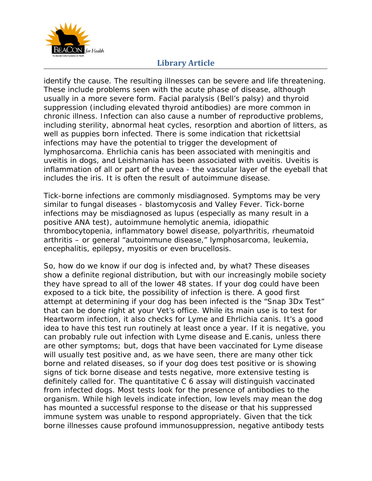

identify the cause. The resulting illnesses can be severe and life threatening. These include problems seen with the acute phase of disease, although usually in a more severe form. Facial paralysis (Bell's palsy) and thyroid suppression (including elevated thyroid antibodies) are more common in chronic illness. Infection can also cause a number of reproductive problems, including sterility, abnormal heat cycles, resorption and abortion of litters, as well as puppies born infected. There is some indication that rickettsial infections may have the potential to trigger the development of lymphosarcoma. *Ehrlichia canis* has been associated with meningitis and uveitis in dogs, and Leishmania has been associated with uveitis. Uveitis is inflammation of all or part of the uvea - the vascular layer of the eyeball that includes the iris. It is often the result of autoimmune disease.

Tick-borne infections are commonly misdiagnosed. Symptoms may be very similar to fungal diseases - blastomycosis and Valley Fever. Tick-borne infections may be misdiagnosed as lupus (especially as many result in a positive ANA test), autoimmune hemolytic anemia, idiopathic thrombocytopenia, inflammatory bowel disease, polyarthritis, rheumatoid arthritis – or general "autoimmune disease," lymphosarcoma, leukemia, encephalitis, epilepsy, myositis or even brucellosis.

So, how do we know if our dog is infected and, by what? These diseases show a definite regional distribution, but with our increasingly mobile society they have spread to all of the lower 48 states. If your dog could have been exposed to a tick bite, the possibility of infection is there. A good first attempt at determining if your dog has been infected is the "Snap 3Dx Test" that can be done right at your Vet's office. While its main use is to test for Heartworm infection, it also checks for Lyme and *Ehrlichia canis*. It's a good idea to have this test run routinely at least once a year. If it is negative, you can probably rule out infection with Lyme disease and E.canis, unless there are other symptoms; but, dogs that have been vaccinated for Lyme disease will usually test positive and, as we have seen, there are many other tick borne and related diseases, so if your dog does test positive or is showing signs of tick borne disease and tests negative, more extensive testing is definitely called for. The quantitative C 6 assay will distinguish vaccinated from infected dogs. Most tests look for the presence of antibodies to the organism. While high levels indicate infection, low levels may mean the dog has mounted a successful response to the disease or that his suppressed immune system was unable to respond appropriately. Given that the tick borne illnesses cause profound immunosuppression, negative antibody tests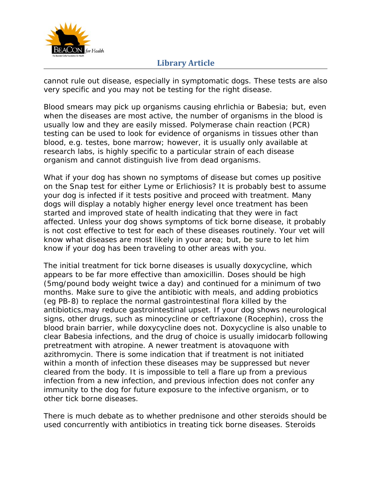

cannot rule out disease, especially in symptomatic dogs. These tests are also very specific and you may not be testing for the right disease.

Blood smears may pick up organisms causing ehrlichia or Babesia; but, even when the diseases are most active, the number of organisms in the blood is usually low and they are easily missed. Polymerase chain reaction (PCR) testing can be used to look for evidence of organisms in tissues other than blood, e.g. testes, bone marrow; however, it is usually only available at research labs, is highly specific to a particular strain of each disease organism and cannot distinguish live from dead organisms.

What if your dog has shown no symptoms of disease but comes up positive on the Snap test for either Lyme or Erlichiosis? It is probably best to assume your dog is infected if it tests positive and proceed with treatment. Many dogs will display a notably higher energy level once treatment has been started and improved state of health indicating that they were in fact affected. Unless your dog shows symptoms of tick borne disease, it probably is not cost effective to test for each of these diseases routinely. Your vet will know what diseases are most likely in your area; but, be sure to let him know if your dog has been traveling to other areas with you.

The initial treatment for tick borne diseases is usually doxycycline, which appears to be far more effective than amoxicillin. Doses should be high (5mg/pound body weight twice a day) and continued for a minimum of two months. Make sure to give the antibiotic with meals, and adding probiotics (eg PB-8) to replace the normal gastrointestinal flora killed by the antibiotics,may reduce gastrointestinal upset. If your dog shows neurological signs, other drugs, such as minocycline or ceftriaxone (Rocephin), cross the blood brain barrier, while doxycycline does not. Doxycycline is also unable to clear Babesia infections, and the drug of choice is usually imidocarb following pretreatment with atropine. A newer treatment is atovaquone with azithromycin. There is some indication that if treatment is not initiated within a month of infection these diseases may be suppressed but never cleared from the body. It is impossible to tell a flare up from a previous infection from a new infection, and previous infection does not confer any immunity to the dog for future exposure to the infective organism, or to other tick borne diseases.

There is much debate as to whether prednisone and other steroids should be used concurrently with antibiotics in treating tick borne diseases. Steroids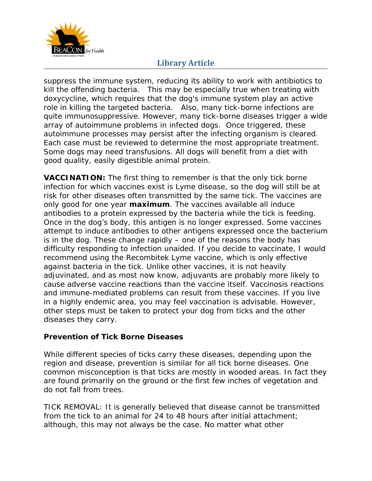

suppress the immune system, reducing its ability to work with antibiotics to kill the offending bacteria. This may be especially true when treating with doxycycline, which requires that the dog's immune system play an active role in killing the targeted bacteria. Also, many tick-borne infections are quite immunosuppressive. However, many tick-borne diseases trigger a wide array of autoimmune problems in infected dogs. Once triggered, these autoimmune processes may persist after the infecting organism is cleared. Each case must be reviewed to determine the most appropriate treatment. Some dogs may need transfusions. All dogs will benefit from a diet with good quality, easily digestible animal protein.

**VACCINATION:** The first thing to remember is that the only tick borne infection for which vaccines exist is Lyme disease, so the dog will still be at risk for other diseases often transmitted by the same tick. The vaccines are only good for one year **maximum**. The vaccines available all induce antibodies to a protein expressed by the bacteria while the tick is feeding. Once in the dog's body, this antigen is no longer expressed. Some vaccines attempt to induce antibodies to other antigens expressed once the bacterium is in the dog. These change rapidly – one of the reasons the body has difficulty responding to infection unaided. If you decide to vaccinate, I would recommend using the Recombitek Lyme vaccine, which is only effective against bacteria in the tick. Unlike other vaccines, it is not heavily adjuvinated, and as most now know, adjuvants are probably more likely to cause adverse vaccine reactions than the vaccine itself. Vaccinosis reactions and immune-mediated problems can result from these vaccines. If you live in a highly endemic area, you may feel vaccination is advisable. However, other steps must be taken to protect your dog from ticks and the other diseases they carry.

#### **Prevention of Tick Borne Diseases**

While different species of ticks carry these diseases, depending upon the region and disease, prevention is similar for all tick borne diseases. One common misconception is that ticks are mostly in wooded areas. In fact they are found primarily on the ground or the first few inches of vegetation and do not fall from trees.

TICK REMOVAL: It is generally believed that disease cannot be transmitted from the tick to an animal for 24 to 48 hours after initial attachment; although, this may not always be the case. No matter what other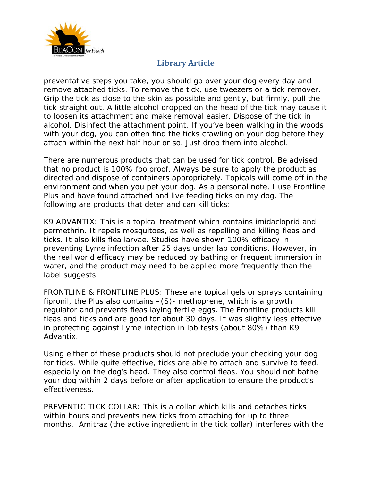

preventative steps you take, you should go over your dog every day and remove attached ticks. To remove the tick, use tweezers or a tick remover. Grip the tick as close to the skin as possible and gently, but firmly, pull the tick straight out. A little alcohol dropped on the head of the tick may cause it to loosen its attachment and make removal easier. Dispose of the tick in alcohol. Disinfect the attachment point. If you've been walking in the woods with your dog, you can often find the ticks crawling on your dog before they attach within the next half hour or so. Just drop them into alcohol.

There are numerous products that can be used for tick control. Be advised that no product is 100% foolproof. Always be sure to apply the product as directed and dispose of containers appropriately. Topicals will come off in the environment and when you pet your dog. As a personal note, I use Frontline Plus and have found attached and live feeding ticks on my dog. The following are products that deter and can kill ticks:

K9 ADVANTIX: This is a topical treatment which contains imidacloprid and permethrin. It repels mosquitoes, as well as repelling and killing fleas and ticks. It also kills flea larvae. Studies have shown 100% efficacy in preventing Lyme infection after 25 days under lab conditions. However, in the real world efficacy may be reduced by bathing or frequent immersion in water, and the product may need to be applied more frequently than the label suggests.

FRONTLINE & FRONTLINE PLUS: These are topical gels or sprays containing fipronil, the Plus also contains –(S)- methoprene, which is a growth regulator and prevents fleas laying fertile eggs. The Frontline products kill fleas and ticks and are good for about 30 days. It was slightly less effective in protecting against Lyme infection in lab tests (about 80%) than K9 Advantix.

Using either of these products should not preclude your checking your dog for ticks. While quite effective, ticks are able to attach and survive to feed, especially on the dog's head. They also control fleas. You should not bathe your dog within 2 days before or after application to ensure the product's effectiveness.

PREVENTIC TICK COLLAR: This is a collar which kills and detaches ticks within hours and prevents new ticks from attaching for up to three months. Amitraz (the active ingredient in the tick collar) interferes with the